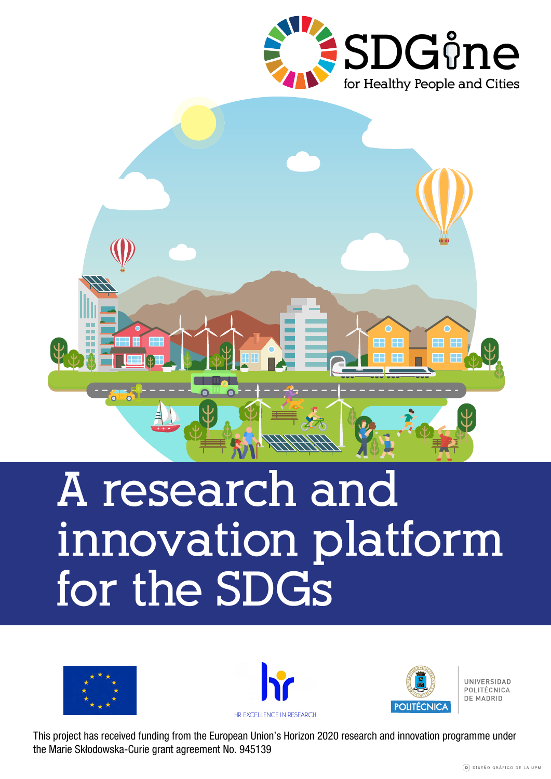



# **A research and innovation platform for the SDGs**







**IINIVERSIDAD** POLITÉCNICA DE MADRID

This project has received funding from the European Union's Horizon 2020 research and innovation programme under the Marie Skłodowska-Curie grant agreement No. 945139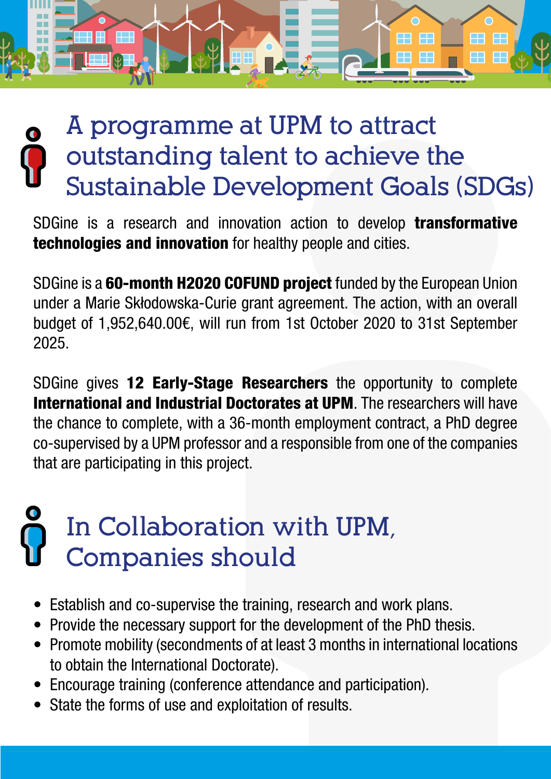

#### **A programme at UPM to attract outstanding talent to achieve the Sustainable Development Goals (SDGs)**

SDGine is a research and innovation action to develop **transformative** technologies and innovation for healthy people and cities.

SDGine is a 60-month H2020 COFUND project funded by the European Union under a Marie Skłodowska-Curie grant agreement. The action, with an overall budget of 1,952,640.00€, will run from 1st October 2020 to 31st September 2025.

SDGine gives 12 Early-Stage Researchers the opportunity to complete International and Industrial Doctorates at UPM. The researchers will have the chance to complete, with a 36-month employment contract, a PhD degree co-supervised by a UPM professor and a responsible from one of the companies that are participating in this project.

## **In Collaboration with UPM, Companies should**

- Establish and co-supervise the training, research and work plans.
- Provide the necessary support for the development of the PhD thesis.
- Promote mobility (secondments of at least 3 months in international locations to obtain the International Doctorate).
- Encourage training (conference attendance and participation).
- State the forms of use and exploitation of results.